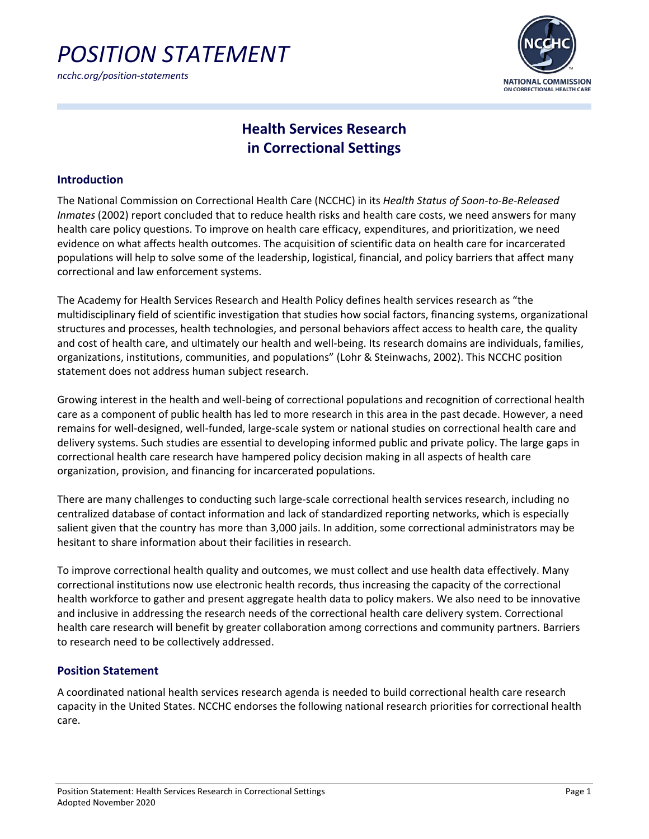

*ncchc.org/position-statements*



## **Health Services Research in Correctional Settings**

#### **Introduction**

The National Commission on Correctional Health Care (NCCHC) in its *Health Status of Soon-to-Be-Released Inmates* (2002) report concluded that to reduce health risks and health care costs, we need answers for many health care policy questions. To improve on health care efficacy, expenditures, and prioritization, we need evidence on what affects health outcomes. The acquisition of scientific data on health care for incarcerated populations will help to solve some of the leadership, logistical, financial, and policy barriers that affect many correctional and law enforcement systems.

The Academy for Health Services Research and Health Policy defines health services research as "the multidisciplinary field of scientific investigation that studies how social factors, financing systems, organizational structures and processes, health technologies, and personal behaviors affect access to health care, the quality and cost of health care, and ultimately our health and well-being. Its research domains are individuals, families, organizations, institutions, communities, and populations" (Lohr & Steinwachs, 2002). This NCCHC position statement does not address human subject research.

Growing interest in the health and well-being of correctional populations and recognition of correctional health care as a component of public health has led to more research in this area in the past decade. However, a need remains for well-designed, well-funded, large-scale system or national studies on correctional health care and delivery systems. Such studies are essential to developing informed public and private policy. The large gaps in correctional health care research have hampered policy decision making in all aspects of health care organization, provision, and financing for incarcerated populations.

There are many challenges to conducting such large-scale correctional health services research, including no centralized database of contact information and lack of standardized reporting networks, which is especially salient given that the country has more than 3,000 jails. In addition, some correctional administrators may be hesitant to share information about their facilities in research.

To improve correctional health quality and outcomes, we must collect and use health data effectively. Many correctional institutions now use electronic health records, thus increasing the capacity of the correctional health workforce to gather and present aggregate health data to policy makers. We also need to be innovative and inclusive in addressing the research needs of the correctional health care delivery system. Correctional health care research will benefit by greater collaboration among corrections and community partners. Barriers to research need to be collectively addressed.

### **Position Statement**

A coordinated national health services research agenda is needed to build correctional health care research capacity in the United States. NCCHC endorses the following national research priorities for correctional health care.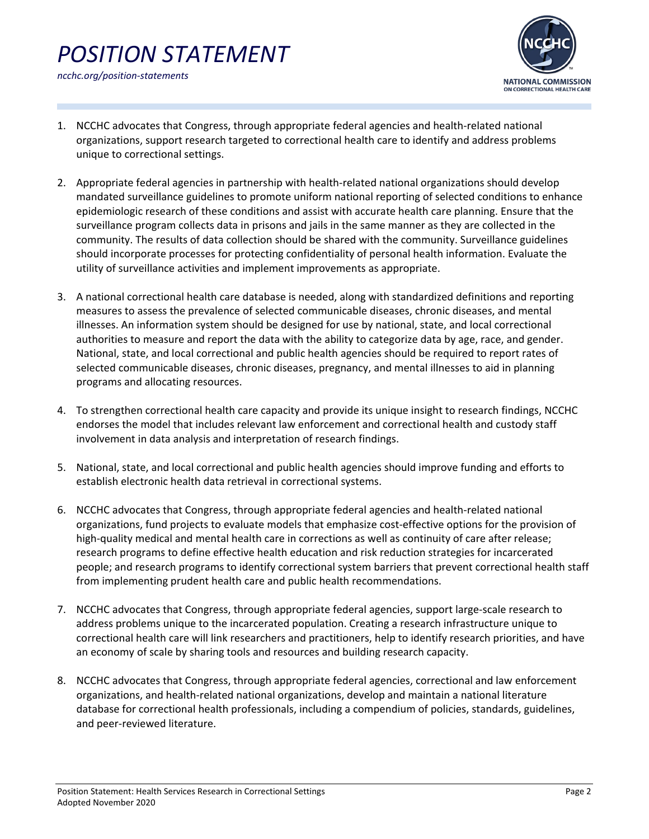# *POSITION STATEMENT ncchc.org/position-statements*



- 1. NCCHC advocates that Congress, through appropriate federal agencies and health-related national organizations, support research targeted to correctional health care to identify and address problems unique to correctional settings.
- 2. Appropriate federal agencies in partnership with health-related national organizations should develop mandated surveillance guidelines to promote uniform national reporting of selected conditions to enhance epidemiologic research of these conditions and assist with accurate health care planning. Ensure that the surveillance program collects data in prisons and jails in the same manner as they are collected in the community. The results of data collection should be shared with the community. Surveillance guidelines should incorporate processes for protecting confidentiality of personal health information. Evaluate the utility of surveillance activities and implement improvements as appropriate.
- 3. A national correctional health care database is needed, along with standardized definitions and reporting measures to assess the prevalence of selected communicable diseases, chronic diseases, and mental illnesses. An information system should be designed for use by national, state, and local correctional authorities to measure and report the data with the ability to categorize data by age, race, and gender. National, state, and local correctional and public health agencies should be required to report rates of selected communicable diseases, chronic diseases, pregnancy, and mental illnesses to aid in planning programs and allocating resources.
- 4. To strengthen correctional health care capacity and provide its unique insight to research findings, NCCHC endorses the model that includes relevant law enforcement and correctional health and custody staff involvement in data analysis and interpretation of research findings.
- 5. National, state, and local correctional and public health agencies should improve funding and efforts to establish electronic health data retrieval in correctional systems.
- 6. NCCHC advocates that Congress, through appropriate federal agencies and health-related national organizations, fund projects to evaluate models that emphasize cost-effective options for the provision of high-quality medical and mental health care in corrections as well as continuity of care after release; research programs to define effective health education and risk reduction strategies for incarcerated people; and research programs to identify correctional system barriers that prevent correctional health staff from implementing prudent health care and public health recommendations.
- 7. NCCHC advocates that Congress, through appropriate federal agencies, support large-scale research to address problems unique to the incarcerated population. Creating a research infrastructure unique to correctional health care will link researchers and practitioners, help to identify research priorities, and have an economy of scale by sharing tools and resources and building research capacity.
- 8. NCCHC advocates that Congress, through appropriate federal agencies, correctional and law enforcement organizations, and health-related national organizations, develop and maintain a national literature database for correctional health professionals, including a compendium of policies, standards, guidelines, and peer-reviewed literature.